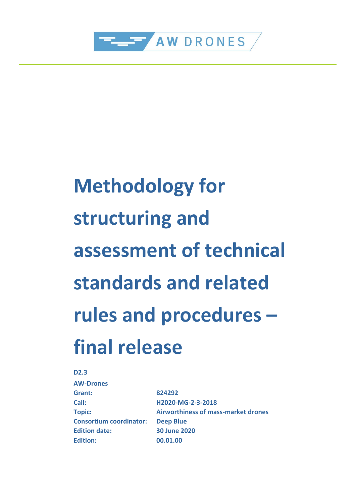

# **Methodology for structuring and assessment of technical standards and related rules and procedures – final release**

**D2.3**

| <b>AW-Drones</b>               |                                            |
|--------------------------------|--------------------------------------------|
| Grant:                         | 824292                                     |
| Call:                          | H2020-MG-2-3-2018                          |
| <b>Topic:</b>                  | <b>Airworthiness of mass-market drones</b> |
| <b>Consortium coordinator:</b> | <b>Deep Blue</b>                           |
| <b>Edition date:</b>           | <b>30 June 2020</b>                        |
| <b>Edition:</b>                | 00.01.00                                   |
|                                |                                            |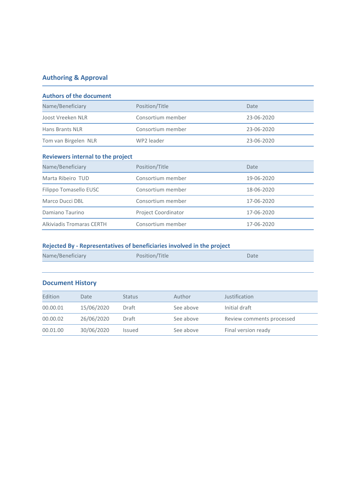### **Authoring & Approval**

| <b>Authors of the document</b>           |                            |            |  |  |
|------------------------------------------|----------------------------|------------|--|--|
| Name/Beneficiary                         | Position/Title             | Date       |  |  |
| Joost Vreeken NLR                        | Consortium member          | 23-06-2020 |  |  |
| Hans Brants NLR                          | Consortium member          | 23-06-2020 |  |  |
| Tom van Birgelen NLR                     | WP2 leader                 | 23-06-2020 |  |  |
| <b>Reviewers internal to the project</b> |                            |            |  |  |
| Name/Beneficiary                         | Position/Title             | Date       |  |  |
| Marta Ribeiro TUD                        | Consortium member          | 19-06-2020 |  |  |
| Filippo Tomasello EUSC                   | Consortium member          | 18-06-2020 |  |  |
| Marco Ducci DBL                          | Consortium member          | 17-06-2020 |  |  |
| Damiano Taurino                          | <b>Project Coordinator</b> | 17-06-2020 |  |  |
| Alkiviadis Tromaras CERTH                | Consortium member          | 17-06-2020 |  |  |

#### **Rejected By - Representatives of beneficiaries involved in the project**

| Name/Beneficiary | Position/Title | Date |
|------------------|----------------|------|
|                  |                |      |

#### **Document History**

| Edition  | Date       | <b>Status</b> | Author    | Justification             |
|----------|------------|---------------|-----------|---------------------------|
| 00.00.01 | 15/06/2020 | Draft         | See above | Initial draft             |
| 00.00.02 | 26/06/2020 | Draft         | See above | Review comments processed |
| 00.01.00 | 30/06/2020 | <b>Issued</b> | See above | Final version ready       |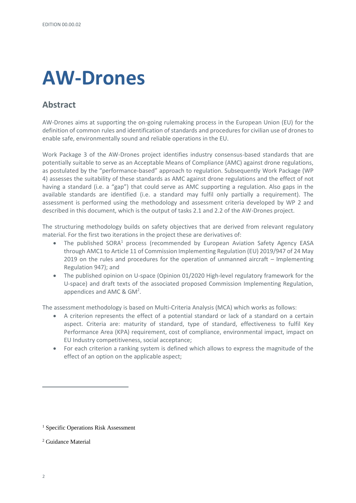# **AW-Drones**

### **Abstract**

AW-Drones aims at supporting the on-going rulemaking process in the European Union (EU) for the definition of common rules and identification of standards and procedures for civilian use of drones to enable safe, environmentally sound and reliable operations in the EU.

Work Package 3 of the AW-Drones project identifies industry consensus-based standards that are potentially suitable to serve as an Acceptable Means of Compliance (AMC) against drone regulations, as postulated by the "performance-based" approach to regulation. Subsequently Work Package (WP 4) assesses the suitability of these standards as AMC against drone regulations and the effect of not having a standard (i.e. a "gap") that could serve as AMC supporting a regulation. Also gaps in the available standards are identified (i.e. a standard may fulfil only partially a requirement). The assessment is performed using the methodology and assessment criteria developed by WP 2 and described in this document, which is the output of tasks 2.1 and 2.2 of the AW-Drones project.

The structuring methodology builds on safety objectives that are derived from relevant regulatory material. For the first two iterations in the project these are derivatives of:

- The published SORA<sup>1</sup> process (recommended by European Aviation Safety Agency EASA through AMC1 to Article 11 of Commission Implementing Regulation (EU) 2019/947 of 24 May 2019 on the rules and procedures for the operation of unmanned aircraft – Implementing Regulation 947); and
- The published opinion on U-space (Opinion 01/2020 High-level regulatory framework for the U-space) and draft texts of the associated proposed Commission Implementing Regulation, appendices and AMC & GM<sup>2</sup>.

The assessment methodology is based on Multi-Criteria Analysis (MCA) which works as follows:

- A criterion represents the effect of a potential standard or lack of a standard on a certain aspect. Criteria are: maturity of standard, type of standard, effectiveness to fulfil Key Performance Area (KPA) requirement, cost of compliance, environmental impact, impact on EU Industry competitiveness, social acceptance;
- For each criterion a ranking system is defined which allows to express the magnitude of the effect of an option on the applicable aspect;

<sup>&</sup>lt;sup>1</sup> Specific Operations Risk Assessment

<sup>2</sup> Guidance Material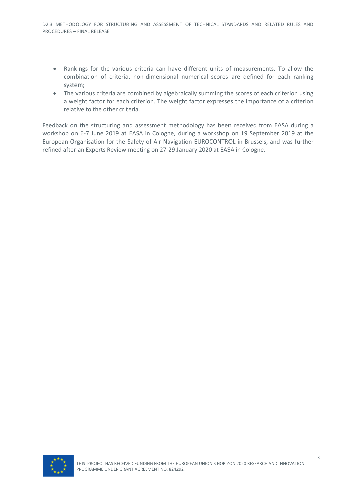- Rankings for the various criteria can have different units of measurements. To allow the combination of criteria, non-dimensional numerical scores are defined for each ranking system;
- The various criteria are combined by algebraically summing the scores of each criterion using a weight factor for each criterion. The weight factor expresses the importance of a criterion relative to the other criteria.

Feedback on the structuring and assessment methodology has been received from EASA during a workshop on 6-7 June 2019 at EASA in Cologne, during a workshop on 19 September 2019 at the European Organisation for the Safety of Air Navigation EUROCONTROL in Brussels, and was further refined after an Experts Review meeting on 27-29 January 2020 at EASA in Cologne.

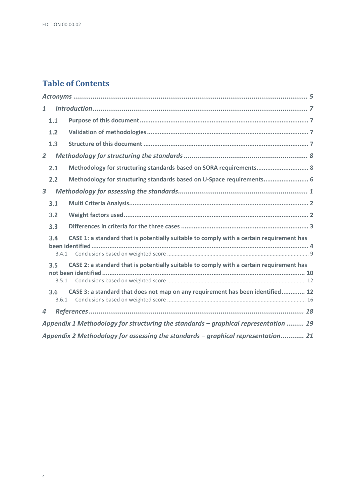### **Table of Contents**

| $\mathbf{1}$                                                                                             |  |
|----------------------------------------------------------------------------------------------------------|--|
| 1.1                                                                                                      |  |
| 1.2                                                                                                      |  |
| 1.3                                                                                                      |  |
| $\overline{2}$                                                                                           |  |
| Methodology for structuring standards based on SORA requirements 8<br>2.1                                |  |
| Methodology for structuring standards based on U-Space requirements 6<br>2.2                             |  |
| $\overline{\mathbf{3}}$                                                                                  |  |
| 3.1                                                                                                      |  |
| 3.2                                                                                                      |  |
| 3.3                                                                                                      |  |
| CASE 1: a standard that is potentially suitable to comply with a certain requirement has<br>3.4<br>3.4.1 |  |
| CASE 2: a standard that is potentially suitable to comply with a certain requirement has<br>3.5<br>3.5.1 |  |
| CASE 3: a standard that does not map on any requirement has been identified 12<br>3.6<br>3.6.1           |  |
| $\boldsymbol{4}$                                                                                         |  |
| Appendix 1 Methodology for structuring the standards – graphical representation  19                      |  |
| Appendix 2 Methodology for assessing the standards – graphical representation 21                         |  |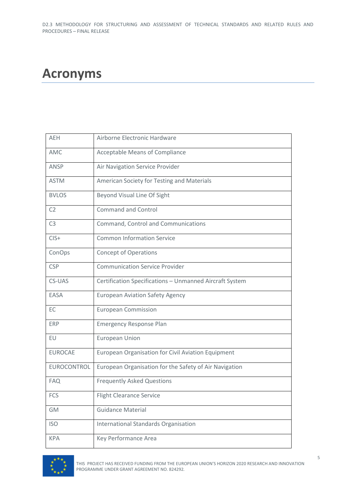# <span id="page-6-0"></span>**Acronyms**

| <b>AEH</b>     | Airborne Electronic Hardware                            |
|----------------|---------------------------------------------------------|
| AMC            | <b>Acceptable Means of Compliance</b>                   |
| ANSP           | Air Navigation Service Provider                         |
| <b>ASTM</b>    | American Society for Testing and Materials              |
| <b>BVLOS</b>   | Beyond Visual Line Of Sight                             |
| C <sub>2</sub> | <b>Command and Control</b>                              |
| C <sub>3</sub> | Command, Control and Communications                     |
| $CIS+$         | <b>Common Information Service</b>                       |
| ConOps         | <b>Concept of Operations</b>                            |
| <b>CSP</b>     | <b>Communication Service Provider</b>                   |
| CS-UAS         | Certification Specifications - Unmanned Aircraft System |
| EASA           | <b>European Aviation Safety Agency</b>                  |
| EC             | <b>European Commission</b>                              |
| <b>ERP</b>     | <b>Emergency Response Plan</b>                          |
| EU             | <b>European Union</b>                                   |
| <b>EUROCAE</b> | European Organisation for Civil Aviation Equipment      |
| EUROCONTROL    | European Organisation for the Safety of Air Navigation  |
| <b>FAQ</b>     | <b>Frequently Asked Questions</b>                       |
| <b>FCS</b>     | <b>Flight Clearance Service</b>                         |
| <b>GM</b>      | <b>Guidance Material</b>                                |
| <b>ISO</b>     | <b>International Standards Organisation</b>             |
| <b>KPA</b>     | Key Performance Area                                    |

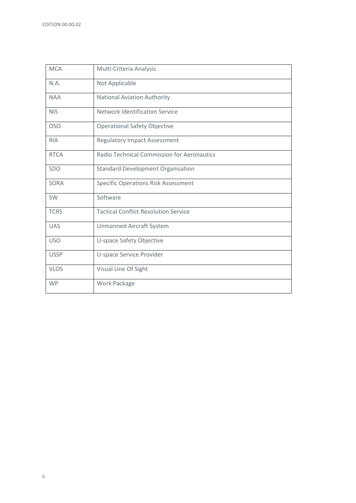| <b>MCA</b>  | Multi-Criteria Analysis                           |
|-------------|---------------------------------------------------|
| N.A.        | Not Applicable                                    |
| <b>NAA</b>  | <b>National Aviation Authority</b>                |
| <b>NIS</b>  | <b>Network Identification Service</b>             |
| <b>OSO</b>  | <b>Operational Safety Objective</b>               |
| <b>RIA</b>  | <b>Regulatory Impact Assessment</b>               |
| <b>RTCA</b> | <b>Radio Technical Commission for Aeronautics</b> |
| SDO         | <b>Standard Development Organisation</b>          |
| <b>SORA</b> | <b>Specific Operations Risk Assessment</b>        |
| SW          | Software                                          |
| <b>TCRS</b> | <b>Tactical Conflict Resolution Service</b>       |
| <b>UAS</b>  | <b>Unmanned Aircraft System</b>                   |
| <b>USO</b>  | U-space Safety Objective                          |
| <b>USSP</b> | U-space Service Provider                          |
| <b>VLOS</b> | Visual Line Of Sight                              |
| <b>WP</b>   | Work Package                                      |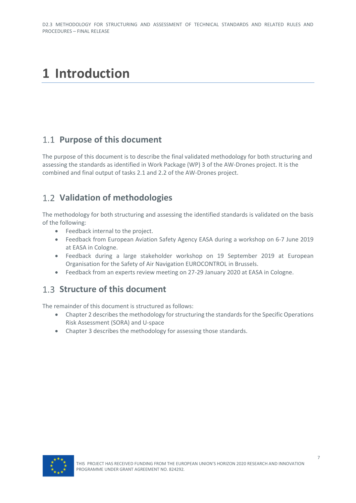# <span id="page-8-0"></span>**1 Introduction**

### <span id="page-8-1"></span>**Purpose of this document**

The purpose of this document is to describe the final validated methodology for both structuring and assessing the standards as identified in Work Package (WP) 3 of the AW-Drones project. It is the combined and final output of tasks 2.1 and 2.2 of the AW-Drones project.

# <span id="page-8-2"></span>**Validation of methodologies**

The methodology for both structuring and assessing the identified standards is validated on the basis of the following:

- Feedback internal to the project.
- Feedback from European Aviation Safety Agency EASA during a workshop on 6-7 June 2019 at EASA in Cologne.
- Feedback during a large stakeholder workshop on 19 September 2019 at European Organisation for the Safety of Air Navigation EUROCONTROL in Brussels.
- Feedback from an experts review meeting on 27-29 January 2020 at EASA in Cologne.

### <span id="page-8-3"></span>**1.3 Structure of this document**

The remainder of this document is structured as follows:

- Chapter 2 describes the methodology for structuring the standards for the Specific Operations Risk Assessment (SORA) and U-space
- Chapter 3 describes the methodology for assessing those standards.

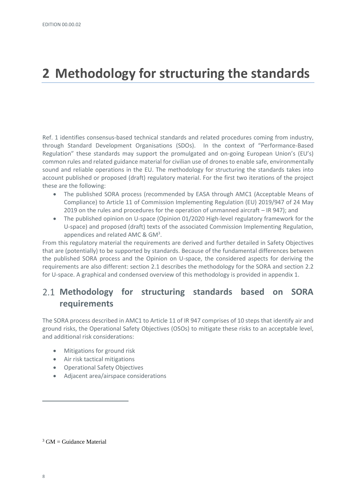# <span id="page-9-0"></span>**2 Methodology for structuring the standards**

Ref. 1 identifies consensus-based technical standards and related procedures coming from industry, through Standard Development Organisations (SDOs). In the context of "Performance-Based Regulation" these standards may support the promulgated and on-going European Union's (EU's) common rules and related guidance material for civilian use of drones to enable safe, environmentally sound and reliable operations in the EU. The methodology for structuring the standards takes into account published or proposed (draft) regulatory material. For the first two iterations of the project these are the following:

- The published SORA process (recommended by EASA through AMC1 (Acceptable Means of Compliance) to Article 11 of Commission Implementing Regulation (EU) 2019/947 of 24 May 2019 on the rules and procedures for the operation of unmanned aircraft – IR 947); and
- The published opinion on U-space (Opinion 01/2020 High-level regulatory framework for the U-space) and proposed (draft) texts of the associated Commission Implementing Regulation, appendices and related AMC & GM<sup>3</sup>.

From this regulatory material the requirements are derived and further detailed in Safety Objectives that are (potentially) to be supported by standards. Because of the fundamental differences between the published SORA process and the Opinion on U-space, the considered aspects for deriving the requirements are also different: section 2.1 describes the methodology for the SORA and section 2.2 for U-space. A graphical and condensed overview of this methodology is provided in appendix 1.

# <span id="page-9-1"></span>**Methodology for structuring standards based on SORA requirements**

The SORA process described in AMC1 to Article 11 of IR 947 comprises of 10 steps that identify air and ground risks, the Operational Safety Objectives (OSOs) to mitigate these risks to an acceptable level, and additional risk considerations:

- Mitigations for ground risk
- Air risk tactical mitigations
- Operational Safety Objectives
- Adjacent area/airspace considerations

 $3$  GM = Guidance Material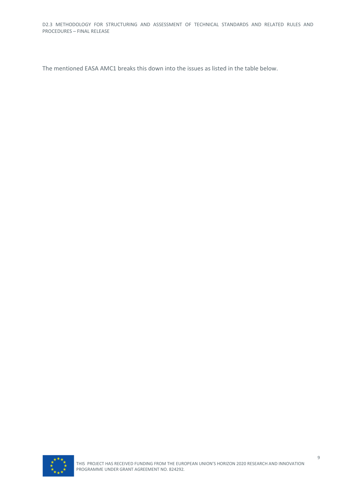D2.3 METHODOLOGY FOR STRUCTURING AND ASSESSMENT OF TECHNICAL STANDARDS AND RELATED RULES AND PROCEDURES – FINAL RELEASE

The mentioned EASA AMC1 breaks this down into the issues as listed in the table below.

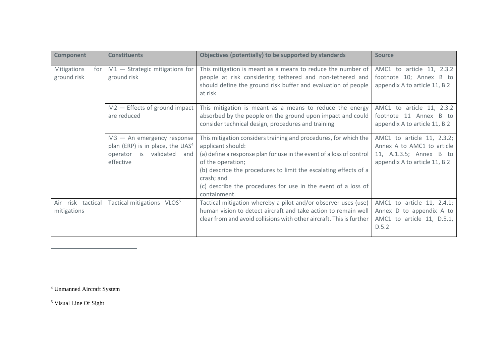| <b>Component</b>                  | <b>Constituents</b>                                                                                                    | Objectives (potentially) to be supported by standards                                                                                                                                                                                                                                                                                                 | <b>Source</b>                                                                                                        |
|-----------------------------------|------------------------------------------------------------------------------------------------------------------------|-------------------------------------------------------------------------------------------------------------------------------------------------------------------------------------------------------------------------------------------------------------------------------------------------------------------------------------------------------|----------------------------------------------------------------------------------------------------------------------|
| Mitigations<br>for<br>ground risk | $M1 -$ Strategic mitigations for<br>ground risk                                                                        | This mitigation is meant as a means to reduce the number of<br>people at risk considering tethered and non-tethered and<br>should define the ground risk buffer and evaluation of people<br>at risk                                                                                                                                                   | AMC1 to article 11, 2.3.2<br>footnote 10; Annex B to<br>appendix A to article 11, B.2                                |
|                                   | $M2$ - Effects of ground impact<br>are reduced                                                                         | This mitigation is meant as a means to reduce the energy<br>absorbed by the people on the ground upon impact and could<br>consider technical design, procedures and training                                                                                                                                                                          | AMC1 to article 11, 2.3.2<br>footnote 11 Annex B to<br>appendix A to article 11, B.2                                 |
|                                   | $M3 - An$ emergency response<br>plan (ERP) is in place, the UAS <sup>4</sup><br>operator is validated and<br>effective | This mitigation considers training and procedures, for which the<br>applicant should:<br>(a) define a response plan for use in the event of a loss of control<br>of the operation;<br>(b) describe the procedures to limit the escalating effects of a<br>crash; and<br>(c) describe the procedures for use in the event of a loss of<br>containment. | AMC1 to article 11, 2.3.2;<br>Annex A to AMC1 to article<br>11, A.1.3.5; Annex B to<br>appendix A to article 11, B.2 |
| Air risk tactical<br>mitigations  | Tactical mitigations - VLOS <sup>5</sup>                                                                               | Tactical mitigation whereby a pilot and/or observer uses (use)<br>human vision to detect aircraft and take action to remain well<br>clear from and avoid collisions with other aircraft. This is further                                                                                                                                              | AMC1 to article 11, 2.4.1;<br>Annex D to appendix A to<br>AMC1 to article 11, D.5.1,<br>D.5.2                        |

<sup>4</sup> Unmanned Aircraft System

<sup>5</sup> Visual Line Of Sight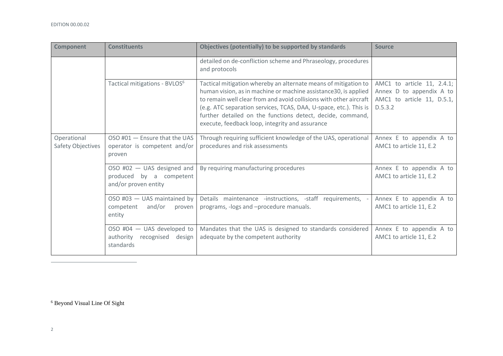| <b>Component</b>                 | <b>Constituents</b>                                                           | Objectives (potentially) to be supported by standards                                                                                                                                                                                                                                                                                                                                          | <b>Source</b>                                                                                   |
|----------------------------------|-------------------------------------------------------------------------------|------------------------------------------------------------------------------------------------------------------------------------------------------------------------------------------------------------------------------------------------------------------------------------------------------------------------------------------------------------------------------------------------|-------------------------------------------------------------------------------------------------|
|                                  |                                                                               | detailed on de-confliction scheme and Phraseology, procedures<br>and protocols                                                                                                                                                                                                                                                                                                                 |                                                                                                 |
|                                  | Tactical mitigations - BVLOS <sup>6</sup>                                     | Tactical mitigation whereby an alternate means of mitigation to<br>human vision, as in machine or machine assistance30, is applied<br>to remain well clear from and avoid collisions with other aircraft<br>(e.g. ATC separation services, TCAS, DAA, U-space, etc.). This is<br>further detailed on the functions detect, decide, command,<br>execute, feedback loop, integrity and assurance | AMC1 to article 11, 2.4.1;<br>Annex D to appendix A to<br>AMC1 to article 11, D.5.1,<br>D.5.3.2 |
| Operational<br>Safety Objectives | OSO #01 - Ensure that the UAS<br>operator is competent and/or<br>proven       | Through requiring sufficient knowledge of the UAS, operational<br>procedures and risk assessments                                                                                                                                                                                                                                                                                              | Annex E to appendix A to<br>AMC1 to article 11, E.2                                             |
|                                  | OSO #02 - UAS designed and<br>produced by a competent<br>and/or proven entity | By requiring manufacturing procedures                                                                                                                                                                                                                                                                                                                                                          | Annex E to appendix A to<br>AMC1 to article 11, E.2                                             |
|                                  | OSO #03 $-$ UAS maintained by<br>and/or<br>competent<br>proven<br>entity      | Details maintenance -instructions, -staff requirements,<br>programs, -logs and -procedure manuals.                                                                                                                                                                                                                                                                                             | Annex E to appendix A to<br>AMC1 to article 11, E.2                                             |
|                                  | OSO #04 $-$ UAS developed to<br>authority recognised<br>design<br>standards   | Mandates that the UAS is designed to standards considered<br>adequate by the competent authority                                                                                                                                                                                                                                                                                               | Annex E to appendix A to<br>AMC1 to article 11, E.2                                             |

<sup>6</sup> Beyond Visual Line Of Sight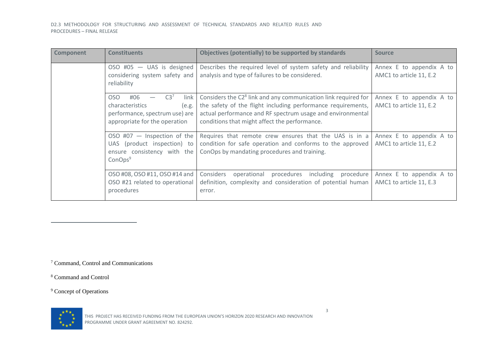D2.3 METHODOLOGY FOR STRUCTURING AND ASSESSMENT OF TECHNICAL STANDARDS AND RELATED RULES AND PROCEDURES – FINAL RELEASE

| <b>Component</b> | <b>Constituents</b>                                                                                                                  | Objectives (potentially) to be supported by standards                                                                                                                                                                                                     | <b>Source</b>                                       |
|------------------|--------------------------------------------------------------------------------------------------------------------------------------|-----------------------------------------------------------------------------------------------------------------------------------------------------------------------------------------------------------------------------------------------------------|-----------------------------------------------------|
|                  | OSO #05 $-$ UAS is designed<br>considering system safety and<br>reliability                                                          | Describes the required level of system safety and reliability<br>analysis and type of failures to be considered.                                                                                                                                          | Annex E to appendix A to<br>AMC1 to article 11, E.2 |
|                  | OSO<br>#06<br>C3 <sup>7</sup><br>link<br>characteristics<br>(e.g.<br>performance, spectrum use) are<br>appropriate for the operation | Considers the C2 <sup>8</sup> link and any communication link required for<br>the safety of the flight including performance requirements,<br>actual performance and RF spectrum usage and environmental<br>conditions that might affect the performance. | Annex E to appendix A to<br>AMC1 to article 11, E.2 |
|                  | OSO #07 $-$ Inspection of the<br>UAS (product inspection) to<br>ensure consistency with the<br>ConOps <sup>9</sup>                   | Requires that remote crew ensures that the UAS is in a<br>condition for safe operation and conforms to the approved<br>ConOps by mandating procedures and training.                                                                                       | Annex E to appendix A to<br>AMC1 to article 11, E.2 |
|                  | OSO #08, OSO #11, OSO #14 and<br>OSO #21 related to operational<br>procedures                                                        | Considers<br>operational<br>procedures<br>including procedure<br>definition, complexity and consideration of potential human<br>error.                                                                                                                    | Annex E to appendix A to<br>AMC1 to article 11, E.3 |

<sup>7</sup> Command, Control and Communications

<sup>8</sup> Command and Control

<sup>9</sup> Concept of Operations

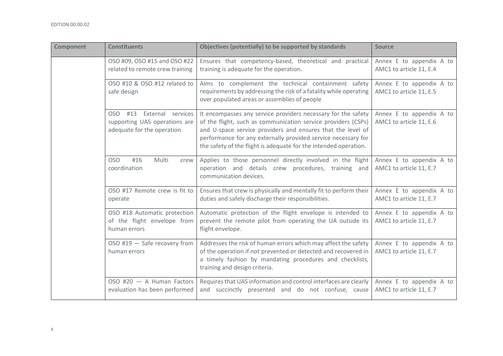| <b>Component</b> | <b>Constituents</b>                                                                         | Objectives (potentially) to be supported by standards                                                                                                                                                                                                                                                                              | <b>Source</b>                                       |
|------------------|---------------------------------------------------------------------------------------------|------------------------------------------------------------------------------------------------------------------------------------------------------------------------------------------------------------------------------------------------------------------------------------------------------------------------------------|-----------------------------------------------------|
|                  | OSO #09, OSO #15 and OSO #22<br>related to remote crew training                             | Ensures that competency-based, theoretical and practical<br>training is adequate for the operation.                                                                                                                                                                                                                                | Annex E to appendix A to<br>AMC1 to article 11, E.4 |
|                  | OSO #10 & OSO #12 related to<br>safe design                                                 | Aims to complement the technical containment safety<br>requirements by addressing the risk of a fatality while operating<br>over populated areas or assemblies of people                                                                                                                                                           | Annex E to appendix A to<br>AMC1 to article 11, E.5 |
|                  | OSO #13<br>External services<br>supporting UAS operations are<br>adequate for the operation | It encompasses any service providers necessary for the safety<br>of the flight, such as communication service providers (CSPs)<br>and U-space service providers and ensures that the level of<br>performance for any externally provided service necessary for<br>the safety of the flight is adequate for the intended operation. | Annex E to appendix A to<br>AMC1 to article 11, E.6 |
|                  | <b>OSO</b><br>#16<br>Multi<br>crew<br>coordination                                          | Applies to those personnel directly involved in the flight<br>operation and details crew procedures, training and<br>communication devices.                                                                                                                                                                                        | Annex E to appendix A to<br>AMC1 to article 11, E.7 |
|                  | OSO #17 Remote crew is fit to<br>operate                                                    | Ensures that crew is physically and mentally fit to perform their<br>duties and safely discharge their responsibilities.                                                                                                                                                                                                           | Annex E to appendix A to<br>AMC1 to article 11, E.7 |
|                  | OSO #18 Automatic protection<br>of the flight envelope from<br>human errors                 | Automatic protection of the flight envelope is intended to<br>prevent the remote pilot from operating the UA outside its<br>flight envelope.                                                                                                                                                                                       | Annex E to appendix A to<br>AMC1 to article 11, E.7 |
|                  | OSO #19 - Safe recovery from<br>human errors                                                | Addresses the risk of human errors which may affect the safety<br>of the operation if not prevented or detected and recovered in<br>a timely fashion by mandating procedures and checklists,<br>training and design criteria.                                                                                                      | Annex E to appendix A to<br>AMC1 to article 11, E.7 |
|                  | $OSO$ #20 $-$ A Human Factors<br>evaluation has been performed                              | Requires that UAS information and control interfaces are clearly<br>and succinctly presented and do not confuse, cause                                                                                                                                                                                                             | Annex E to appendix A to<br>AMC1 to article 11, E.7 |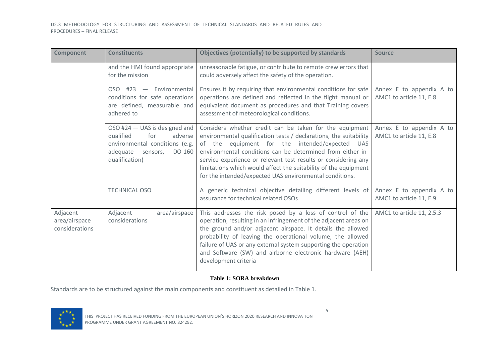| <b>Component</b>                            | <b>Constituents</b>                                                                                                                             | Objectives (potentially) to be supported by standards                                                                                                                                                                                                                                                                                                                                                                                        | <b>Source</b>                                       |
|---------------------------------------------|-------------------------------------------------------------------------------------------------------------------------------------------------|----------------------------------------------------------------------------------------------------------------------------------------------------------------------------------------------------------------------------------------------------------------------------------------------------------------------------------------------------------------------------------------------------------------------------------------------|-----------------------------------------------------|
|                                             | and the HMI found appropriate<br>for the mission                                                                                                | unreasonable fatigue, or contribute to remote crew errors that<br>could adversely affect the safety of the operation.                                                                                                                                                                                                                                                                                                                        |                                                     |
|                                             | OSO #23 - Environmental<br>conditions for safe operations<br>are defined, measurable and<br>adhered to                                          | Ensures it by requiring that environmental conditions for safe<br>operations are defined and reflected in the flight manual or<br>equivalent document as procedures and that Training covers<br>assessment of meteorological conditions.                                                                                                                                                                                                     | Annex E to appendix A to<br>AMC1 to article 11, E.8 |
|                                             | OSO #24 - UAS is designed and<br>qualified<br>for<br>adverse<br>environmental conditions (e.g.<br>DO-160<br>adequate sensors,<br>qualification) | Considers whether credit can be taken for the equipment<br>environmental qualification tests / declarations, the suitability<br>of the equipment for the intended/expected UAS<br>environmental conditions can be determined from either in-<br>service experience or relevant test results or considering any<br>limitations which would affect the suitability of the equipment<br>for the intended/expected UAS environmental conditions. | Annex E to appendix A to<br>AMC1 to article 11, E.8 |
|                                             | <b>TECHNICAL OSO</b>                                                                                                                            | A generic technical objective detailing different levels of<br>assurance for technical related OSOs                                                                                                                                                                                                                                                                                                                                          | Annex E to appendix A to<br>AMC1 to article 11, E.9 |
| Adjacent<br>area/airspace<br>considerations | Adjacent<br>area/airspace<br>considerations                                                                                                     | This addresses the risk posed by a loss of control of the<br>operation, resulting in an infringement of the adjacent areas on<br>the ground and/or adjacent airspace. It details the allowed<br>probability of leaving the operational volume, the allowed<br>failure of UAS or any external system supporting the operation<br>and Software (SW) and airborne electronic hardware (AEH)<br>development criteria                             | AMC1 to article 11, 2.5.3                           |

#### **Table 1: SORA breakdown**

<span id="page-16-0"></span>Standards are to be structured against the main components and constituent as detailed in [Table 1.](#page-16-0)

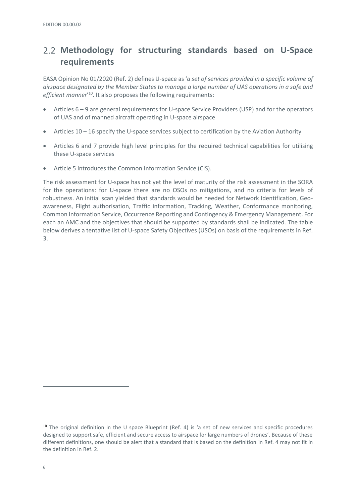# <span id="page-17-0"></span>**Methodology for structuring standards based on U-Space requirements**

EASA Opinion No 01/2020 (Ref. 2) defines U-space as '*a set of services provided in a specific volume of airspace designated by the Member States to manage a large number of UAS operations in a safe and*  efficient manner<sup>'10</sup>. It also proposes the following requirements:

- Articles 6 9 are general requirements for U-space Service Providers (USP) and for the operators of UAS and of manned aircraft operating in U-space airspace
- Articles 10 16 specify the U-space services subject to certification by the Aviation Authority
- Articles 6 and 7 provide high level principles for the required technical capabilities for utilising these U-space services
- Article 5 introduces the Common Information Service (CIS).

The risk assessment for U-space has not yet the level of maturity of the risk assessment in the SORA for the operations: for U-space there are no OSOs no mitigations, and no criteria for levels of robustness. An initial scan yielded that standards would be needed for Network Identification, Geoawareness, Flight authorisation, Traffic information, Tracking, Weather, Conformance monitoring, Common Information Service, Occurrence Reporting and Contingency & Emergency Management. For each an AMC and the objectives that should be supported by standards shall be indicated. The table below derives a tentative list of U-space Safety Objectives (USOs) on basis of the requirements in Ref. 3.

 $10$  The original definition in the U space Blueprint (Ref. 4) is 'a set of new services and specific procedures designed to support safe, efficient and secure access to airspace for large numbers of drones'. Because of these different definitions, one should be alert that a standard that is based on the definition in Ref. 4 may not fit in the definition in Ref. 2.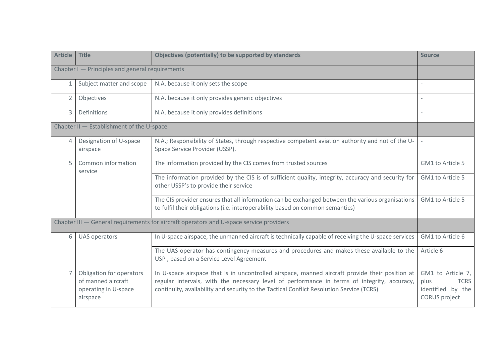| <b>Article</b>                                  | <b>Title</b>                                                                       | Objectives (potentially) to be supported by standards                                                                                                                                                                                                                                      | <b>Source</b>                                                                         |  |  |  |  |
|-------------------------------------------------|------------------------------------------------------------------------------------|--------------------------------------------------------------------------------------------------------------------------------------------------------------------------------------------------------------------------------------------------------------------------------------------|---------------------------------------------------------------------------------------|--|--|--|--|
| Chapter I - Principles and general requirements |                                                                                    |                                                                                                                                                                                                                                                                                            |                                                                                       |  |  |  |  |
| $\mathbf{1}$                                    | Subject matter and scope<br>N.A. because it only sets the scope                    |                                                                                                                                                                                                                                                                                            |                                                                                       |  |  |  |  |
| $\overline{2}$                                  | Objectives                                                                         | N.A. because it only provides generic objectives                                                                                                                                                                                                                                           |                                                                                       |  |  |  |  |
| 3                                               | <b>Definitions</b>                                                                 | N.A. because it only provides definitions                                                                                                                                                                                                                                                  |                                                                                       |  |  |  |  |
|                                                 | Chapter II - Establishment of the U-space                                          |                                                                                                                                                                                                                                                                                            |                                                                                       |  |  |  |  |
| $\overline{4}$                                  | Designation of U-space<br>airspace                                                 | N.A.; Responsibility of States, through respective competent aviation authority and not of the U-<br>Space Service Provider (USSP).                                                                                                                                                        | $\overline{\phantom{a}}$                                                              |  |  |  |  |
| $\overline{5}$                                  | Common information<br>service                                                      | The information provided by the CIS comes from trusted sources                                                                                                                                                                                                                             | GM1 to Article 5                                                                      |  |  |  |  |
|                                                 |                                                                                    | The information provided by the CIS is of sufficient quality, integrity, accuracy and security for<br>other USSP's to provide their service                                                                                                                                                | GM1 to Article 5                                                                      |  |  |  |  |
|                                                 |                                                                                    | The CIS provider ensures that all information can be exchanged between the various organisations<br>to fulfil their obligations (i.e. interoperability based on common semantics)                                                                                                          | GM1 to Article 5                                                                      |  |  |  |  |
|                                                 |                                                                                    | Chapter III - General requirements for aircraft operators and U-space service providers                                                                                                                                                                                                    |                                                                                       |  |  |  |  |
| 6                                               | <b>UAS operators</b>                                                               | In U-space airspace, the unmanned aircraft is technically capable of receiving the U-space services                                                                                                                                                                                        | GM1 to Article 6                                                                      |  |  |  |  |
|                                                 |                                                                                    | The UAS operator has contingency measures and procedures and makes these available to the<br>USP, based on a Service Level Agreement                                                                                                                                                       | Article 6                                                                             |  |  |  |  |
|                                                 | Obligation for operators<br>of manned aircraft<br>operating in U-space<br>airspace | In U-space airspace that is in uncontrolled airspace, manned aircraft provide their position at<br>regular intervals, with the necessary level of performance in terms of integrity, accuracy,<br>continuity, availability and security to the Tactical Conflict Resolution Service (TCRS) | GM1 to Article 7,<br>plus<br><b>TCRS</b><br>identified by the<br><b>CORUS</b> project |  |  |  |  |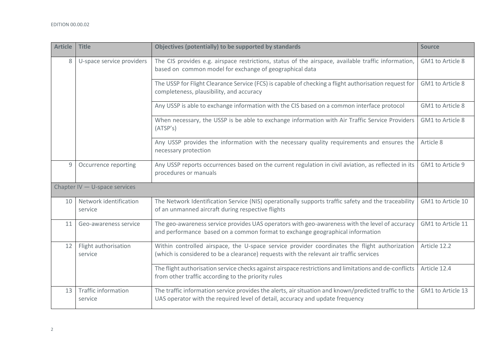| <b>Article</b>  | <b>Title</b>                                                                                                                                      | Objectives (potentially) to be supported by standards                                                                                                                                    | <b>Source</b>     |
|-----------------|---------------------------------------------------------------------------------------------------------------------------------------------------|------------------------------------------------------------------------------------------------------------------------------------------------------------------------------------------|-------------------|
| 8               | U-space service providers                                                                                                                         | The CIS provides e.g. airspace restrictions, status of the airspace, available traffic information,<br>based on common model for exchange of geographical data                           | GM1 to Article 8  |
|                 | The USSP for Flight Clearance Service (FCS) is capable of checking a flight authorisation request for<br>completeness, plausibility, and accuracy |                                                                                                                                                                                          | GM1 to Article 8  |
|                 |                                                                                                                                                   | Any USSP is able to exchange information with the CIS based on a common interface protocol                                                                                               | GM1 to Article 8  |
|                 |                                                                                                                                                   | When necessary, the USSP is be able to exchange information with Air Traffic Service Providers<br>(ATSP's)                                                                               | GM1 to Article 8  |
|                 |                                                                                                                                                   | Any USSP provides the information with the necessary quality requirements and ensures the<br>necessary protection                                                                        | Article 8         |
| 9               | Occurrence reporting                                                                                                                              | Any USSP reports occurrences based on the current regulation in civil aviation, as reflected in its<br>procedures or manuals                                                             | GM1 to Article 9  |
|                 | Chapter IV $-$ U-space services                                                                                                                   |                                                                                                                                                                                          |                   |
| 10              | Network identification<br>service                                                                                                                 | The Network Identification Service (NIS) operationally supports traffic safety and the traceability<br>of an unmanned aircraft during respective flights                                 | GM1 to Article 10 |
| 11              | Geo-awareness service                                                                                                                             | The geo-awareness service provides UAS operators with geo-awareness with the level of accuracy<br>and performance based on a common format to exchange geographical information          | GM1 to Article 11 |
| 12              | Flight authorisation<br>service                                                                                                                   | Within controlled airspace, the U-space service provider coordinates the flight authorization<br>(which is considered to be a clearance) requests with the relevant air traffic services | Article 12.2      |
|                 |                                                                                                                                                   | The flight authorisation service checks against airspace restrictions and limitations and de-conflicts<br>from other traffic according to the priority rules                             | Article 12.4      |
| 13 <sup>°</sup> | <b>Traffic information</b><br>service                                                                                                             | The traffic information service provides the alerts, air situation and known/predicted traffic to the<br>UAS operator with the required level of detail, accuracy and update frequency   | GM1 to Article 13 |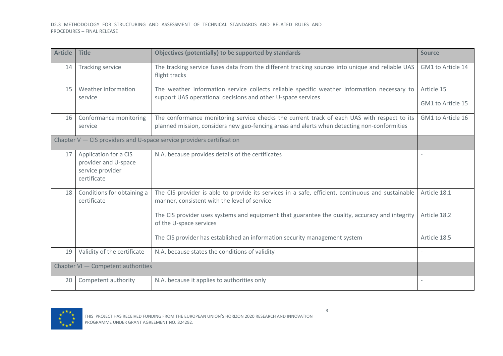| <b>Article</b> | <b>Title</b>                                                                     | Objectives (potentially) to be supported by standards                                                                                                                                      | <b>Source</b>                   |
|----------------|----------------------------------------------------------------------------------|--------------------------------------------------------------------------------------------------------------------------------------------------------------------------------------------|---------------------------------|
| 14             | <b>Tracking service</b>                                                          | The tracking service fuses data from the different tracking sources into unique and reliable UAS<br>flight tracks                                                                          | GM1 to Article 14               |
| 15             | Weather information<br>service                                                   | The weather information service collects reliable specific weather information necessary to<br>support UAS operational decisions and other U-space services                                | Article 15<br>GM1 to Article 15 |
| 16             | Conformance monitoring<br>service                                                | The conformance monitoring service checks the current track of each UAS with respect to its<br>planned mission, considers new geo-fencing areas and alerts when detecting non-conformities | GM1 to Article 16               |
|                |                                                                                  | Chapter $V - CIS$ providers and U-space service providers certification                                                                                                                    |                                 |
| 17             | Application for a CIS<br>provider and U-space<br>service provider<br>certificate | N.A. because provides details of the certificates                                                                                                                                          |                                 |
| 18             | Conditions for obtaining a<br>certificate                                        | The CIS provider is able to provide its services in a safe, efficient, continuous and sustainable<br>manner, consistent with the level of service                                          | Article 18.1                    |
|                |                                                                                  | The CIS provider uses systems and equipment that guarantee the quality, accuracy and integrity<br>of the U-space services                                                                  | Article 18.2                    |
|                |                                                                                  | The CIS provider has established an information security management system                                                                                                                 | Article 18.5                    |
| 19             | Validity of the certificate                                                      | N.A. because states the conditions of validity                                                                                                                                             |                                 |
|                | Chapter VI - Competent authorities                                               |                                                                                                                                                                                            |                                 |
| 20             | Competent authority                                                              | N.A. because it applies to authorities only                                                                                                                                                |                                 |

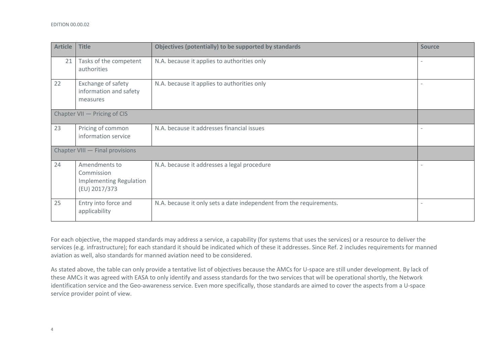| <b>Article</b> | <b>Title</b>                                                                   | Objectives (potentially) to be supported by standards               | <b>Source</b> |
|----------------|--------------------------------------------------------------------------------|---------------------------------------------------------------------|---------------|
| 21             | Tasks of the competent<br>authorities                                          | N.A. because it applies to authorities only                         |               |
| 22             | Exchange of safety<br>information and safety<br>measures                       | N.A. because it applies to authorities only                         |               |
|                | Chapter VII - Pricing of CIS                                                   |                                                                     |               |
| 23             | Pricing of common<br>information service                                       | N.A. because it addresses financial issues                          |               |
|                | Chapter VIII - Final provisions                                                |                                                                     |               |
| 24             | Amendments to<br>Commission<br><b>Implementing Regulation</b><br>(EU) 2017/373 | N.A. because it addresses a legal procedure                         |               |
| 25             | Entry into force and<br>applicability                                          | N.A. because it only sets a date independent from the requirements. |               |

For each objective, the mapped standards may address a service, a capability (for systems that uses the services) or a resource to deliver the services (e.g. infrastructure); for each standard it should be indicated which of these it addresses. Since Ref. 2 includes requirements for manned aviation as well, also standards for manned aviation need to be considered.

As stated above, the table can only provide a tentative list of objectives because the AMCs for U-space are still under development. By lack of these AMCs it was agreed with EASA to only identify and assess standards for the two services that will be operational shortly, the Network identification service and the Geo-awareness service. Even more specifically, those standards are aimed to cover the aspects from a U-space service provider point of view.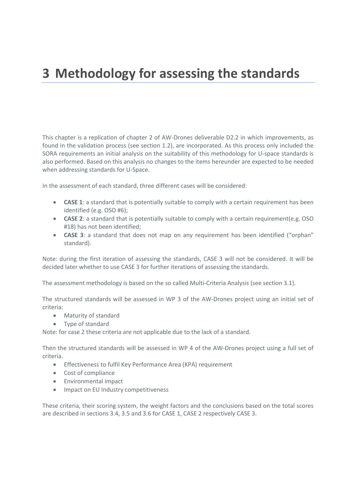# <span id="page-22-0"></span>**3 Methodology for assessing the standards**

This chapter is a replication of chapter 2 of AW-Drones deliverable D2.2 in which improvements, as found in the validation process (see section 1.2), are incorporated. As this process only included the SORA requirements an initial analysis on the suitability of this methodology for U-space standards is also performed. Based on this analysis no changes to the items hereunder are expected to be needed when addressing standards for U-Space.

In the assessment of each standard, three different cases will be considered:

- **CASE 1**: a standard that is potentially suitable to comply with a certain requirement has been identified (e.g. OSO #6);
- **CASE 2**: a standard that is potentially suitable to comply with a certain requirement(e.g. OSO #18) has not been identified;
- **CASE 3**: a standard that does not map on any requirement has been identified ("orphan" standard).

Note: during the first iteration of assessing the standards, CASE 3 will not be considered. It will be decided later whether to use CASE 3 for further iterations of assessing the standards.

The assessment methodology is based on the so called Multi-Criteria Analysis (see sectio[n 3.1\)](#page-23-0).

The structured standards will be assessed in WP 3 of the AW-Drones project using an initial set of criteria:

- Maturity of standard
- Type of standard

Note: for case 2 these criteria are not applicable due to the lack of a standard.

Then the structured standards will be assessed in WP 4 of the AW-Drones project using a full set of criteria.

- Effectiveness to fulfil Key Performance Area (KPA) requirement
- Cost of compliance
- Environmental impact
- Impact on EU Industry competitiveness

These criteria, their scoring system, the weight factors and the conclusions based on the total scores are described in sections [3.4,](#page-25-0) [3.5](#page-31-0) an[d 3.6](#page-33-1) for CASE 1, CASE 2 respectively CASE 3.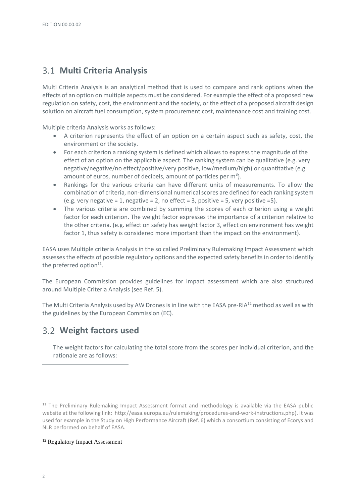# <span id="page-23-0"></span>**Multi Criteria Analysis**

Multi Criteria Analysis is an analytical method that is used to compare and rank options when the effects of an option on multiple aspects must be considered. For example the effect of a proposed new regulation on safety, cost, the environment and the society, or the effect of a proposed aircraft design solution on aircraft fuel consumption, system procurement cost, maintenance cost and training cost.

Multiple criteria Analysis works as follows:

- A criterion represents the effect of an option on a certain aspect such as safety, cost, the environment or the society.
- For each criterion a ranking system is defined which allows to express the magnitude of the effect of an option on the applicable aspect. The ranking system can be qualitative (e.g. very negative/negative/no effect/positive/very positive, low/medium/high) or quantitative (e.g. amount of euros, number of decibels, amount of particles per  $m<sup>3</sup>$ ).
- Rankings for the various criteria can have different units of measurements. To allow the combination of criteria, non-dimensional numerical scores are defined for each ranking system (e.g. very negative = 1, negative = 2, no effect = 3, positive = 5, very positive = 5).
- The various criteria are combined by summing the scores of each criterion using a weight factor for each criterion. The weight factor expresses the importance of a criterion relative to the other criteria. (e.g. effect on safety has weight factor 3, effect on environment has weight factor 1, thus safety is considered more important than the impact on the environment).

EASA uses Multiple criteria Analysis in the so called Preliminary Rulemaking Impact Assessment which assesses the effects of possible regulatory options and the expected safety benefits in order to identify the preferred option $^{11}$ .

The European Commission provides guidelines for impact assessment which are also structured around Multiple Criteria Analysis (see Ref. 5).

The Multi Criteria Analysis used by AW Drones is in line with the EASA pre-RIA<sup>12</sup> method as well as with the guidelines by the European Commission (EC).

### <span id="page-23-1"></span>**Weight factors used**

The weight factors for calculating the total score from the scores per individual criterion, and the rationale are as follows:

<sup>11</sup> The Preliminary Rulemaking Impact Assessment format and methodology is available via the EASA public website at the following link: http://easa.europa.eu/rulemaking/procedures-and-work-instructions.php). It was used for example in the Study on High Performance Aircraft (Ref. 6) which a consortium consisting of Ecorys and NLR performed on behalf of EASA.

#### <sup>12</sup> Regulatory Impact Assessment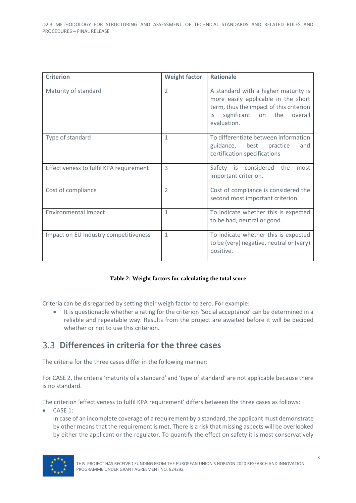| <b>Criterion</b>                        | <b>Weight factor</b>     | <b>Rationale</b>                                                                                                                                                                 |
|-----------------------------------------|--------------------------|----------------------------------------------------------------------------------------------------------------------------------------------------------------------------------|
| Maturity of standard                    | $\overline{2}$           | A standard with a higher maturity is<br>more easily applicable in the short<br>term, thus the impact of this criterion<br>the<br>significant on<br>overall<br>is.<br>evaluation. |
| Type of standard                        | 1                        | To differentiate between information<br>guidance, best practice<br>and<br>certification specifications                                                                           |
| Effectiveness to fulfil KPA requirement | 3                        | Safety is considered the<br>most<br>important criterion.                                                                                                                         |
| Cost of compliance                      | $\overline{\phantom{a}}$ | Cost of compliance is considered the<br>second most important criterion.                                                                                                         |
| Environmental impact                    | 1                        | To indicate whether this is expected<br>to be bad, neutral or good.                                                                                                              |
| Impact on EU Industry competitiveness   | 1                        | To indicate whether this is expected<br>to be (very) negative, neutral or (very)<br>positive.                                                                                    |

#### **Table 2: Weight factors for calculating the total score**

Criteria can be disregarded by setting their weigh factor to zero. For example:

• It is questionable whether a rating for the criterion 'Social acceptance' can be determined in a reliable and repeatable way. Results from the project are awaited before it will be decided whether or not to use this criterion.

### <span id="page-24-0"></span>**Differences in criteria for the three cases**

The criteria for the three cases differ in the following manner:

For CASE 2, the criteria 'maturity of a standard' and 'type of standard' are not applicable because there is no standard.

The criterion 'effectiveness to fulfil KPA requirement' differs between the three cases as follows:

• CASE 1:

In case of an incomplete coverage of a requirement by a standard, the applicant must demonstrate by other means that the requirement is met. There is a risk that missing aspects will be overlooked by either the applicant or the regulator. To quantify the effect on safety it is most conservatively

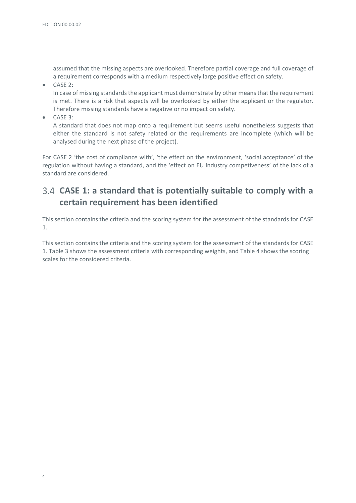assumed that the missing aspects are overlooked. Therefore partial coverage and full coverage of a requirement corresponds with a medium respectively large positive effect on safety.

• CASE 2:

In case of missing standards the applicant must demonstrate by other means that the requirement is met. There is a risk that aspects will be overlooked by either the applicant or the regulator. Therefore missing standards have a negative or no impact on safety.

• CASE 3:

A standard that does not map onto a requirement but seems useful nonetheless suggests that either the standard is not safety related or the requirements are incomplete (which will be analysed during the next phase of the project).

For CASE 2 'the cost of compliance with', 'the effect on the environment, 'social acceptance' of the regulation without having a standard, and the 'effect on EU industry competiveness' of the lack of a standard are considered.

# <span id="page-25-0"></span>**CASE 1: a standard that is potentially suitable to comply with a certain requirement has been identified**

This section contains the criteria and the scoring system for the assessment of the standards for CASE 1.

This section contains the criteria and the scoring system for the assessment of the standards for CASE 1. Table 3 shows the assessment criteria with corresponding weights, and Table 4 shows the scoring scales for the considered criteria.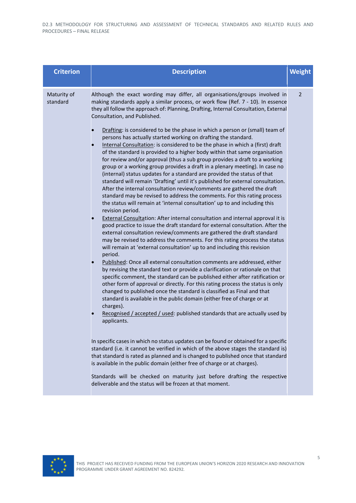| <b>Criterion</b>        | <b>Description</b>                                                                                                                                                                                                                                                                                                                                                                                                                                                                                                                                                                                                                                                                                                                                                                                                                                                                                                                                                                                                                                                                                                                                                                                                                                                                                                                                                                                                                                                                                                                                                                                                                                                                                                                                                                                                                                                                                                                                                                                                                                                                                                                                                                                                                                                                                                                                                                                                                                                                                                                                                                                                                                                                                    | <b>Weight</b> |
|-------------------------|-------------------------------------------------------------------------------------------------------------------------------------------------------------------------------------------------------------------------------------------------------------------------------------------------------------------------------------------------------------------------------------------------------------------------------------------------------------------------------------------------------------------------------------------------------------------------------------------------------------------------------------------------------------------------------------------------------------------------------------------------------------------------------------------------------------------------------------------------------------------------------------------------------------------------------------------------------------------------------------------------------------------------------------------------------------------------------------------------------------------------------------------------------------------------------------------------------------------------------------------------------------------------------------------------------------------------------------------------------------------------------------------------------------------------------------------------------------------------------------------------------------------------------------------------------------------------------------------------------------------------------------------------------------------------------------------------------------------------------------------------------------------------------------------------------------------------------------------------------------------------------------------------------------------------------------------------------------------------------------------------------------------------------------------------------------------------------------------------------------------------------------------------------------------------------------------------------------------------------------------------------------------------------------------------------------------------------------------------------------------------------------------------------------------------------------------------------------------------------------------------------------------------------------------------------------------------------------------------------------------------------------------------------------------------------------------------------|---------------|
| Maturity of<br>standard | Although the exact wording may differ, all organisations/groups involved in<br>making standards apply a similar process, or work flow (Ref. 7 - 10). In essence<br>they all follow the approach of: Planning, Drafting, Internal Consultation, External<br>Consultation, and Published.<br>Drafting: is considered to be the phase in which a person or (small) team of<br>persons has actually started working on drafting the standard.<br>Internal Consultation: is considered to be the phase in which a (first) draft<br>of the standard is provided to a higher body within that same organisation<br>for review and/or approval (thus a sub group provides a draft to a working<br>group or a working group provides a draft in a plenary meeting). In case no<br>(internal) status updates for a standard are provided the status of that<br>standard will remain 'Drafting' until it's published for external consultation.<br>After the internal consultation review/comments are gathered the draft<br>standard may be revised to address the comments. For this rating process<br>the status will remain at 'internal consultation' up to and including this<br>revision period.<br>External Consultation: After internal consultation and internal approval it is<br>good practice to issue the draft standard for external consultation. After the<br>external consultation review/comments are gathered the draft standard<br>may be revised to address the comments. For this rating process the status<br>will remain at 'external consultation' up to and including this revision<br>period.<br>Published: Once all external consultation comments are addressed, either<br>by revising the standard text or provide a clarification or rationale on that<br>specific comment, the standard can be published either after ratification or<br>other form of approval or directly. For this rating process the status is only<br>changed to published once the standard is classified as Final and that<br>standard is available in the public domain (either free of charge or at<br>charges).<br>Recognised / accepted / used: published standards that are actually used by<br>applicants.<br>In specific cases in which no status updates can be found or obtained for a specific<br>standard (i.e. it cannot be verified in which of the above stages the standard is)<br>that standard is rated as planned and is changed to published once that standard<br>is available in the public domain (either free of charge or at charges).<br>Standards will be checked on maturity just before drafting the respective<br>deliverable and the status will be frozen at that moment. | 2             |
|                         |                                                                                                                                                                                                                                                                                                                                                                                                                                                                                                                                                                                                                                                                                                                                                                                                                                                                                                                                                                                                                                                                                                                                                                                                                                                                                                                                                                                                                                                                                                                                                                                                                                                                                                                                                                                                                                                                                                                                                                                                                                                                                                                                                                                                                                                                                                                                                                                                                                                                                                                                                                                                                                                                                                       |               |

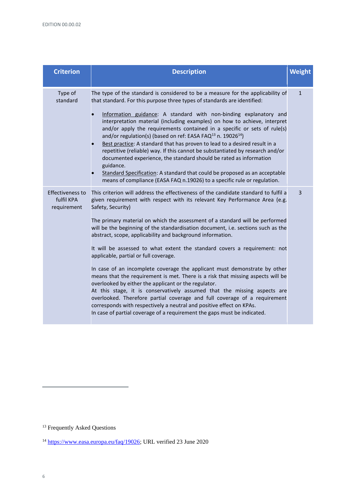| <b>Criterion</b>                                     | <b>Description</b>                                                                                                                                                                                                                                                                                                                                                                                                                                                                                                                                                                                                                                                                                                                                                                                                                                                                                                                                                                                                                                                                   | Weight         |
|------------------------------------------------------|--------------------------------------------------------------------------------------------------------------------------------------------------------------------------------------------------------------------------------------------------------------------------------------------------------------------------------------------------------------------------------------------------------------------------------------------------------------------------------------------------------------------------------------------------------------------------------------------------------------------------------------------------------------------------------------------------------------------------------------------------------------------------------------------------------------------------------------------------------------------------------------------------------------------------------------------------------------------------------------------------------------------------------------------------------------------------------------|----------------|
| Type of<br>standard                                  | The type of the standard is considered to be a measure for the applicability of<br>that standard. For this purpose three types of standards are identified:<br>Information guidance: A standard with non-binding explanatory and<br>interpretation material (including examples) on how to achieve, interpret<br>and/or apply the requirements contained in a specific or sets of rule(s)<br>and/or regulation(s) (based on ref: EASA FAQ $^{13}$ n. 19026 $^{14}$ )<br>Best practice: A standard that has proven to lead to a desired result in a<br>repetitive (reliable) way. If this cannot be substantiated by research and/or<br>documented experience, the standard should be rated as information<br>guidance.<br>Standard Specification: A standard that could be proposed as an acceptable<br>means of compliance (EASA FAQ n.19026) to a specific rule or regulation.                                                                                                                                                                                                     | $\mathbf{1}$   |
| <b>Effectiveness to</b><br>fulfil KPA<br>requirement | This criterion will address the effectiveness of the candidate standard to fulfil a<br>given requirement with respect with its relevant Key Performance Area (e.g.<br>Safety, Security)<br>The primary material on which the assessment of a standard will be performed<br>will be the beginning of the standardisation document, i.e. sections such as the<br>abstract, scope, applicability and background information.<br>It will be assessed to what extent the standard covers a requirement: not<br>applicable, partial or full coverage.<br>In case of an incomplete coverage the applicant must demonstrate by other<br>means that the requirement is met. There is a risk that missing aspects will be<br>overlooked by either the applicant or the regulator.<br>At this stage, it is conservatively assumed that the missing aspects are<br>overlooked. Therefore partial coverage and full coverage of a requirement<br>corresponds with respectively a neutral and positive effect on KPAs.<br>In case of partial coverage of a requirement the gaps must be indicated. | $\overline{3}$ |

<sup>&</sup>lt;sup>13</sup> Frequently Asked Questions

<sup>&</sup>lt;sup>14</sup> [https://www.easa.europa.eu/faq/19026;](https://www.easa.europa.eu/faq/19026) URL verified 23 June 2020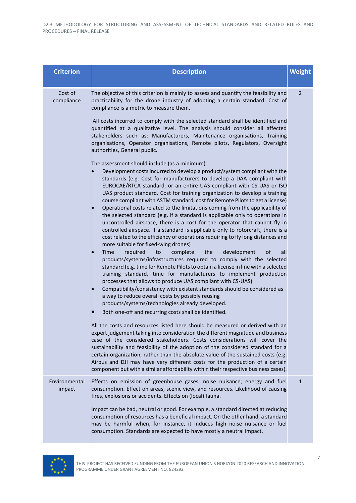| <b>Criterion</b>        | <b>Description</b>                                                                                                                                                                                                                                                                                                                                                                                                                                                                                                                                                                                                                                                                                                                                                                                                                                                                                                                                                                                                                                                                                                                                                                                                                                                                                                                                                                                                                                                                                                                                                                                                                                                                                                                                                                                                                                                                                                                                                                                                                                                                                                                  | <b>Weight</b>  |
|-------------------------|-------------------------------------------------------------------------------------------------------------------------------------------------------------------------------------------------------------------------------------------------------------------------------------------------------------------------------------------------------------------------------------------------------------------------------------------------------------------------------------------------------------------------------------------------------------------------------------------------------------------------------------------------------------------------------------------------------------------------------------------------------------------------------------------------------------------------------------------------------------------------------------------------------------------------------------------------------------------------------------------------------------------------------------------------------------------------------------------------------------------------------------------------------------------------------------------------------------------------------------------------------------------------------------------------------------------------------------------------------------------------------------------------------------------------------------------------------------------------------------------------------------------------------------------------------------------------------------------------------------------------------------------------------------------------------------------------------------------------------------------------------------------------------------------------------------------------------------------------------------------------------------------------------------------------------------------------------------------------------------------------------------------------------------------------------------------------------------------------------------------------------------|----------------|
| Cost of<br>compliance   | The objective of this criterion is mainly to assess and quantify the feasibility and<br>practicability for the drone industry of adopting a certain standard. Cost of<br>compliance is a metric to measure them.                                                                                                                                                                                                                                                                                                                                                                                                                                                                                                                                                                                                                                                                                                                                                                                                                                                                                                                                                                                                                                                                                                                                                                                                                                                                                                                                                                                                                                                                                                                                                                                                                                                                                                                                                                                                                                                                                                                    | $\overline{2}$ |
|                         | All costs incurred to comply with the selected standard shall be identified and<br>quantified at a qualitative level. The analysis should consider all affected<br>stakeholders such as: Manufacturers, Maintenance organisations, Training<br>organisations, Operator organisations, Remote pilots, Regulators, Oversight<br>authorities, General public.                                                                                                                                                                                                                                                                                                                                                                                                                                                                                                                                                                                                                                                                                                                                                                                                                                                                                                                                                                                                                                                                                                                                                                                                                                                                                                                                                                                                                                                                                                                                                                                                                                                                                                                                                                          |                |
|                         | The assessment should include (as a minimum):<br>Development costs incurred to develop a product/system compliant with the<br>standards (e.g. Cost for manufacturers to develop a DAA compliant with<br>EUROCAE/RTCA standard, or an entire UAS compliant with CS-UAS or ISO<br>UAS product standard. Cost for training organization to develop a training<br>course compliant with ASTM standard, cost for Remote Pilots to get a license)<br>Operational costs related to the limitations coming from the applicability of<br>the selected standard (e.g. if a standard is applicable only to operations in<br>uncontrolled airspace, there is a cost for the operator that cannot fly in<br>controlled airspace. If a standard is applicable only to rotorcraft, there is a<br>cost related to the efficiency of operations requiring to fly long distances and<br>more suitable for fixed-wing drones)<br>Time<br>required<br>to<br>complete<br>the<br>development<br>of<br>all<br>products/systems/infrastructures required to comply with the selected<br>standard (e.g. time for Remote Pilots to obtain a license in line with a selected<br>training standard, time for manufacturers to implement production<br>processes that allows to produce UAS compliant with CS-UAS)<br>Compatibility/consistency with existent standards should be considered as<br>a way to reduce overall costs by possibly reusing<br>products/systems/technologies already developed.<br>Both one-off and recurring costs shall be identified.<br>All the costs and resources listed here should be measured or derived with an<br>expert judgement taking into consideration the different magnitude and business<br>case of the considered stakeholders. Costs considerations will cover the<br>sustainability and feasibility of the adoption of the considered standard for a<br>certain organization, rather than the absolute value of the sustained costs (e.g.<br>Airbus and DJI may have very different costs for the production of a certain<br>component but with a similar affordability within their respective business cases). |                |
| Environmental<br>impact | Effects on emission of greenhouse gases; noise nuisance; energy and fuel<br>consumption. Effect on areas, scenic view, and resources. Likelihood of causing<br>fires, explosions or accidents. Effects on (local) fauna.                                                                                                                                                                                                                                                                                                                                                                                                                                                                                                                                                                                                                                                                                                                                                                                                                                                                                                                                                                                                                                                                                                                                                                                                                                                                                                                                                                                                                                                                                                                                                                                                                                                                                                                                                                                                                                                                                                            | $\mathbf{1}$   |
|                         | Impact can be bad, neutral or good. For example, a standard directed at reducing<br>consumption of resources has a beneficial impact. On the other hand, a standard<br>may be harmful when, for instance, it induces high noise nuisance or fuel<br>consumption. Standards are expected to have mostly a neutral impact.                                                                                                                                                                                                                                                                                                                                                                                                                                                                                                                                                                                                                                                                                                                                                                                                                                                                                                                                                                                                                                                                                                                                                                                                                                                                                                                                                                                                                                                                                                                                                                                                                                                                                                                                                                                                            |                |

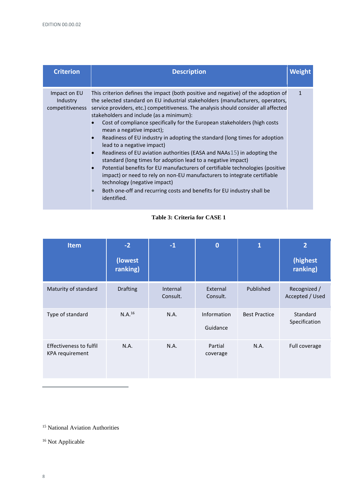| <b>Criterion</b>                            | <b>Description</b>                                                                                                                                                                                                                                                                                                                                                                                                                                                                                                                                                                                                                                                                                                                                                                                                                                                                                                                                                                                 | <b>Weight</b> |
|---------------------------------------------|----------------------------------------------------------------------------------------------------------------------------------------------------------------------------------------------------------------------------------------------------------------------------------------------------------------------------------------------------------------------------------------------------------------------------------------------------------------------------------------------------------------------------------------------------------------------------------------------------------------------------------------------------------------------------------------------------------------------------------------------------------------------------------------------------------------------------------------------------------------------------------------------------------------------------------------------------------------------------------------------------|---------------|
| Impact on EU<br>Industry<br>competitiveness | This criterion defines the impact (both positive and negative) of the adoption of<br>the selected standard on EU industrial stakeholders (manufacturers, operators,<br>service providers, etc.) competitiveness. The analysis should consider all affected<br>stakeholders and include (as a minimum):<br>Cost of compliance specifically for the European stakeholders (high costs<br>mean a negative impact);<br>Readiness of EU industry in adopting the standard (long times for adoption<br>$\bullet$<br>lead to a negative impact)<br>Readiness of EU aviation authorities (EASA and NAAs15) in adopting the<br>$\bullet$<br>standard (long times for adoption lead to a negative impact)<br>Potential benefits for EU manufacturers of certifiable technologies (positive<br>$\bullet$<br>impact) or need to rely on non-EU manufacturers to integrate certifiable<br>technology (negative impact)<br>Both one-off and recurring costs and benefits for EU industry shall be<br>identified. | $\mathbf{1}$  |

#### **Table 3: Criteria for CASE 1**

| <b>Item</b>                                       | $-2$<br>(lowest<br>ranking) | $-1$                 | 0                       | 1                    | $\overline{2}$<br>(highest<br>ranking) |
|---------------------------------------------------|-----------------------------|----------------------|-------------------------|----------------------|----------------------------------------|
| Maturity of standard                              | <b>Drafting</b>             | Internal<br>Consult. | External<br>Consult.    | Published            | Recognized /<br>Accepted / Used        |
| Type of standard                                  | N.A. <sup>16</sup>          | N.A.                 | Information<br>Guidance | <b>Best Practice</b> | Standard<br>Specification              |
| <b>Effectiveness to fulfil</b><br>KPA requirement | N.A.                        | N.A.                 | Partial<br>coverage     | N.A.                 | Full coverage                          |

<sup>15</sup> National Aviation Authorities

<sup>16</sup> Not Applicable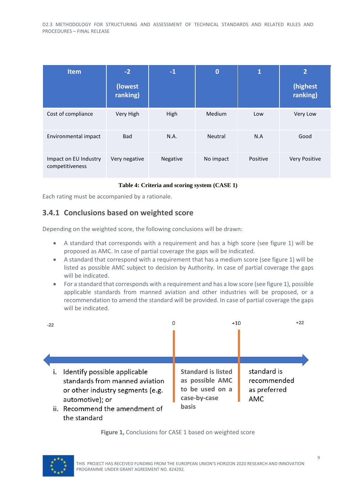| <b>Item</b>                              | $-2$                | $-1$     | $\bf{0}$       | $\mathbf{1}$ | $\overline{2}$       |
|------------------------------------------|---------------------|----------|----------------|--------------|----------------------|
|                                          | (lowest<br>ranking) |          |                |              | (highest<br>ranking) |
| Cost of compliance                       | Very High           | High     | <b>Medium</b>  | Low          | Very Low             |
| Environmental impact                     | <b>Bad</b>          | N.A.     | <b>Neutral</b> | N.A          | Good                 |
| Impact on EU Industry<br>competitiveness | Very negative       | Negative | No impact      | Positive     | <b>Very Positive</b> |

#### **Table 4: Criteria and scoring system (CASE 1)**

Each rating must be accompanied by a rationale.

#### <span id="page-30-0"></span>**3.4.1 Conclusions based on weighted score**

Depending on the weighted score, the following conclusions will be drawn:

- A standard that corresponds with a requirement and has a high score (see figure 1) will be proposed as AMC. In case of partial coverage the gaps will be indicated.
- A standard that correspond with a requirement that has a medium score (see figure 1) will be listed as possible AMC subject to decision by Authority. In case of partial coverage the gaps will be indicated.
- For a standard that corresponds with a requirement and has a low score (see figure 1), possible applicable standards from manned aviation and other industries will be proposed, or a recommendation to amend the standard will be provided. In case of partial coverage the gaps will be indicated.



#### **Figure 1,** Conclusions for CASE 1 based on weighted score

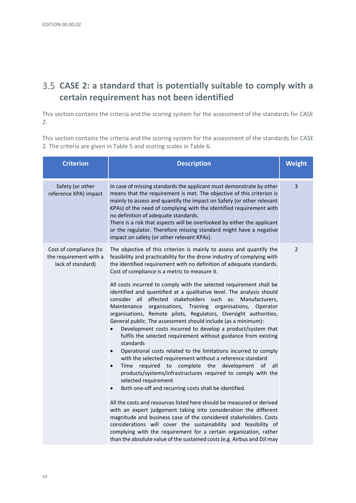# <span id="page-31-0"></span>**CASE 2: a standard that is potentially suitable to comply with a certain requirement has not been identified**

This section contains the criteria and the scoring system for the assessment of the standards for CASE 2.

This section contains the criteria and the scoring system for the assessment of the standards for CASE 2. The criteria are given i[n Table 5](#page-32-0) and scoring scales in [Table 6.](#page-33-2)

| <b>Criterion</b>                                                      | <b>Description</b>                                                                                                                                                                                                                                                                                                                                                                                                                                                                                                                                                                                                                                                                                                                                                                                                                                                                                                                                                                                                                                                                                                                                                                                                                                                                                                                                                                                                                                                                                                                                                                                                                                               | Weight |
|-----------------------------------------------------------------------|------------------------------------------------------------------------------------------------------------------------------------------------------------------------------------------------------------------------------------------------------------------------------------------------------------------------------------------------------------------------------------------------------------------------------------------------------------------------------------------------------------------------------------------------------------------------------------------------------------------------------------------------------------------------------------------------------------------------------------------------------------------------------------------------------------------------------------------------------------------------------------------------------------------------------------------------------------------------------------------------------------------------------------------------------------------------------------------------------------------------------------------------------------------------------------------------------------------------------------------------------------------------------------------------------------------------------------------------------------------------------------------------------------------------------------------------------------------------------------------------------------------------------------------------------------------------------------------------------------------------------------------------------------------|--------|
| Safety (or other<br>reference KPA) impact                             | In case of missing standards the applicant must demonstrate by other<br>means that the requirement is met. The objective of this criterion is<br>mainly to assess and quantify the impact on Safety (or other relevant<br>KPAs) of the need of complying with the identified requirement with<br>no definition of adequate standards.<br>There is a risk that aspects will be overlooked by either the applicant<br>or the regulator. Therefore missing standard might have a negative<br>impact on safety (or other relevant KPAs).                                                                                                                                                                                                                                                                                                                                                                                                                                                                                                                                                                                                                                                                                                                                                                                                                                                                                                                                                                                                                                                                                                                             | 3      |
| Cost of compliance (to<br>the requirement with a<br>lack of standard) | The objective of this criterion is mainly to assess and quantify the<br>feasibility and practicability for the drone industry of complying with<br>the identified requirement with no definition of adequate standards.<br>Cost of compliance is a metric to measure it.<br>All costs incurred to comply with the selected requirement shall be<br>identified and quantified at a qualitative level. The analysis should<br>consider all<br>affected stakeholders such as: Manufacturers,<br>Maintenance<br>organisations, Training organisations,<br>Operator<br>organisations, Remote pilots, Regulators, Oversight authorities,<br>General public. The assessment should include (as a minimum):<br>Development costs incurred to develop a product/system that<br>fulfils the selected requirement without guidance from existing<br>standards<br>Operational costs related to the limitations incurred to comply<br>$\bullet$<br>with the selected requirement without a reference standard<br>required<br>to complete the development of<br>Time<br>all<br>$\bullet$<br>products/systems/infrastructures required to comply with the<br>selected requirement<br>Both one-off and recurring costs shall be identified.<br>All the costs and resources listed here should be measured or derived<br>with an expert judgement taking into consideration the different<br>magnitude and business case of the considered stakeholders. Costs<br>considerations will cover the sustainability and feasibility of<br>complying with the requirement for a certain organization, rather<br>than the absolute value of the sustained costs (e.g. Airbus and DJI may | 2      |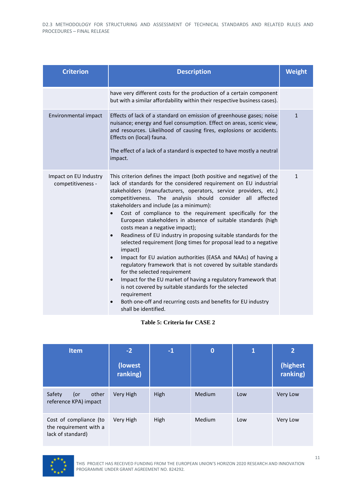| <b>Criterion</b>                           | <b>Description</b>                                                                                                                                                                                                                                                                                                                                                                                                                                                                                                                                                                                                                                                                                                                                                                                                                                                                                                                                                                                                                                                                                     |              |  |
|--------------------------------------------|--------------------------------------------------------------------------------------------------------------------------------------------------------------------------------------------------------------------------------------------------------------------------------------------------------------------------------------------------------------------------------------------------------------------------------------------------------------------------------------------------------------------------------------------------------------------------------------------------------------------------------------------------------------------------------------------------------------------------------------------------------------------------------------------------------------------------------------------------------------------------------------------------------------------------------------------------------------------------------------------------------------------------------------------------------------------------------------------------------|--------------|--|
|                                            | have very different costs for the production of a certain component<br>but with a similar affordability within their respective business cases).                                                                                                                                                                                                                                                                                                                                                                                                                                                                                                                                                                                                                                                                                                                                                                                                                                                                                                                                                       |              |  |
| Environmental impact                       | Effects of lack of a standard on emission of greenhouse gases; noise<br>nuisance; energy and fuel consumption. Effect on areas, scenic view,<br>and resources. Likelihood of causing fires, explosions or accidents.<br>Effects on (local) fauna.<br>The effect of a lack of a standard is expected to have mostly a neutral<br>impact.                                                                                                                                                                                                                                                                                                                                                                                                                                                                                                                                                                                                                                                                                                                                                                | $\mathbf{1}$ |  |
| Impact on EU Industry<br>competitiveness - | This criterion defines the impact (both positive and negative) of the<br>lack of standards for the considered requirement on EU industrial<br>stakeholders (manufacturers, operators, service providers, etc.)<br>competitiveness. The analysis should consider all affected<br>stakeholders and include (as a minimum):<br>Cost of compliance to the requirement specifically for the<br>European stakeholders in absence of suitable standards (high<br>costs mean a negative impact);<br>Readiness of EU industry in proposing suitable standards for the<br>$\bullet$<br>selected requirement (long times for proposal lead to a negative<br>impact)<br>Impact for EU aviation authorities (EASA and NAAs) of having a<br>$\bullet$<br>regulatory framework that is not covered by suitable standards<br>for the selected requirement<br>Impact for the EU market of having a regulatory framework that<br>$\bullet$<br>is not covered by suitable standards for the selected<br>requirement<br>Both one-off and recurring costs and benefits for EU industry<br>$\bullet$<br>shall be identified. | $\mathbf{1}$ |  |

| Table 5: Criteria for CASE 2 |
|------------------------------|
|------------------------------|

<span id="page-32-0"></span>

| <b>Item</b>                                                           | $-2$                | $-1$ | $\mathbf 0$ | $\overline{\mathbf{1}}$ | $\overline{2}$       |
|-----------------------------------------------------------------------|---------------------|------|-------------|-------------------------|----------------------|
|                                                                       | (lowest<br>ranking) |      |             |                         | (highest<br>ranking) |
| Safety<br>(or<br>other<br>reference KPA) impact                       | Very High           | High | Medium      | Low                     | <b>Very Low</b>      |
| Cost of compliance (to<br>the requirement with a<br>lack of standard) | Very High           | High | Medium      | Low                     | Very Low             |

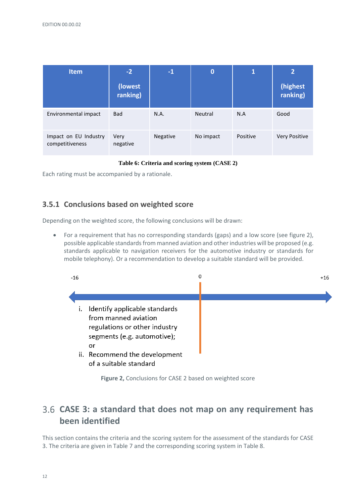| <b>Item</b>                              | $-2$                | $-1$     | $\bf{0}$  | $\overline{\mathbf{1}}$ | $\mathbf{2}$         |
|------------------------------------------|---------------------|----------|-----------|-------------------------|----------------------|
|                                          | (lowest<br>ranking) |          |           |                         | (highest<br>ranking) |
| Environmental impact                     | <b>Bad</b>          | N.A.     | Neutral   | N.A                     | Good                 |
| Impact on EU Industry<br>competitiveness | Very<br>negative    | Negative | No impact | Positive                | <b>Very Positive</b> |

#### **Table 6: Criteria and scoring system (CASE 2)**

<span id="page-33-2"></span>Each rating must be accompanied by a rationale.

#### <span id="page-33-0"></span>**3.5.1 Conclusions based on weighted score**

Depending on the weighted score, the following conclusions will be drawn:

• For a requirement that has no corresponding standards (gaps) and a low score (see figure 2), possible applicable standards from manned aviation and other industries will be proposed (e.g. standards applicable to navigation receivers for the automotive industry or standards for mobile telephony). Or a recommendation to develop a suitable standard will be provided.



**Figure 2,** Conclusions for CASE 2 based on weighted score

# <span id="page-33-1"></span>**CASE 3: a standard that does not map on any requirement has been identified**

This section contains the criteria and the scoring system for the assessment of the standards for CASE 3. The criteria are given i[n Table 7](#page-36-0) and the corresponding scoring system i[n Table 8.](#page-37-1)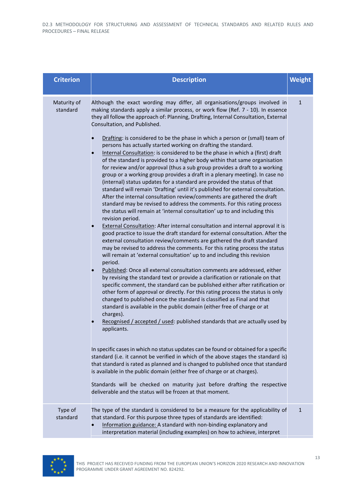| <b>Criterion</b>        | <b>Description</b>                                                                                                                                                                                                                                                                                                                                                                                                                                                                                                                                                                                                                                                                                                                                                                                                                                                                                                                                                                                                                                                                                                                                                                                                                                                                                                                                                                                                                                                                                                                                                                                                                                                                                                                                                                                                                                                                                                                                                                                                                                                                                                                                                                                                                                                                                                                                                                                                                                                                                                                                                                                                                                                                                           | Weight       |
|-------------------------|--------------------------------------------------------------------------------------------------------------------------------------------------------------------------------------------------------------------------------------------------------------------------------------------------------------------------------------------------------------------------------------------------------------------------------------------------------------------------------------------------------------------------------------------------------------------------------------------------------------------------------------------------------------------------------------------------------------------------------------------------------------------------------------------------------------------------------------------------------------------------------------------------------------------------------------------------------------------------------------------------------------------------------------------------------------------------------------------------------------------------------------------------------------------------------------------------------------------------------------------------------------------------------------------------------------------------------------------------------------------------------------------------------------------------------------------------------------------------------------------------------------------------------------------------------------------------------------------------------------------------------------------------------------------------------------------------------------------------------------------------------------------------------------------------------------------------------------------------------------------------------------------------------------------------------------------------------------------------------------------------------------------------------------------------------------------------------------------------------------------------------------------------------------------------------------------------------------------------------------------------------------------------------------------------------------------------------------------------------------------------------------------------------------------------------------------------------------------------------------------------------------------------------------------------------------------------------------------------------------------------------------------------------------------------------------------------------------|--------------|
| Maturity of<br>standard | Although the exact wording may differ, all organisations/groups involved in<br>making standards apply a similar process, or work flow (Ref. 7 - 10). In essence<br>they all follow the approach of: Planning, Drafting, Internal Consultation, External<br>Consultation, and Published.<br>Drafting: is considered to be the phase in which a person or (small) team of<br>persons has actually started working on drafting the standard.<br>Internal Consultation: is considered to be the phase in which a (first) draft<br>of the standard is provided to a higher body within that same organisation<br>for review and/or approval (thus a sub group provides a draft to a working<br>group or a working group provides a draft in a plenary meeting). In case no<br>(internal) status updates for a standard are provided the status of that<br>standard will remain 'Drafting' until it's published for external consultation.<br>After the internal consultation review/comments are gathered the draft<br>standard may be revised to address the comments. For this rating process<br>the status will remain at 'internal consultation' up to and including this<br>revision period.<br><b>External Consultation: After internal consultation and internal approval it is</b><br>good practice to issue the draft standard for external consultation. After the<br>external consultation review/comments are gathered the draft standard<br>may be revised to address the comments. For this rating process the status<br>will remain at 'external consultation' up to and including this revision<br>period.<br>Published: Once all external consultation comments are addressed, either<br>by revising the standard text or provide a clarification or rationale on that<br>specific comment, the standard can be published either after ratification or<br>other form of approval or directly. For this rating process the status is only<br>changed to published once the standard is classified as Final and that<br>standard is available in the public domain (either free of charge or at<br>charges).<br>Recognised / accepted / used: published standards that are actually used by<br>applicants.<br>In specific cases in which no status updates can be found or obtained for a specific<br>standard (i.e. it cannot be verified in which of the above stages the standard is)<br>that standard is rated as planned and is changed to published once that standard<br>is available in the public domain (either free of charge or at charges).<br>Standards will be checked on maturity just before drafting the respective<br>deliverable and the status will be frozen at that moment. | $\mathbf{1}$ |
| Type of<br>standard     | The type of the standard is considered to be a measure for the applicability of<br>that standard. For this purpose three types of standards are identified:<br>Information guidance: A standard with non-binding explanatory and<br>interpretation material (including examples) on how to achieve, interpret                                                                                                                                                                                                                                                                                                                                                                                                                                                                                                                                                                                                                                                                                                                                                                                                                                                                                                                                                                                                                                                                                                                                                                                                                                                                                                                                                                                                                                                                                                                                                                                                                                                                                                                                                                                                                                                                                                                                                                                                                                                                                                                                                                                                                                                                                                                                                                                                | $\mathbf{1}$ |

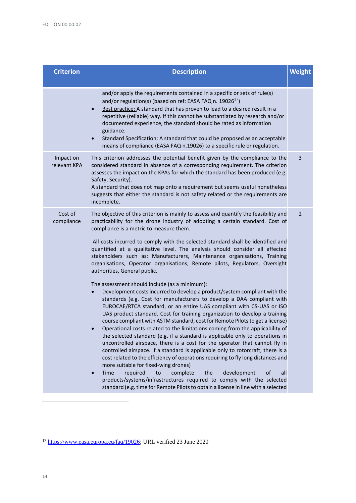| <b>Criterion</b>          | <b>Description</b>                                                                                                                                                                                                                                                                                                                                                                                                                                                                                                                                                                                                                                                                                                                                                                                                                                                                                                                                                                                                                                                                                                                                                                                                                                                                                                                                                                                                                                                                                                                                                                                                                                                                                                                  | <b>Weight</b>  |
|---------------------------|-------------------------------------------------------------------------------------------------------------------------------------------------------------------------------------------------------------------------------------------------------------------------------------------------------------------------------------------------------------------------------------------------------------------------------------------------------------------------------------------------------------------------------------------------------------------------------------------------------------------------------------------------------------------------------------------------------------------------------------------------------------------------------------------------------------------------------------------------------------------------------------------------------------------------------------------------------------------------------------------------------------------------------------------------------------------------------------------------------------------------------------------------------------------------------------------------------------------------------------------------------------------------------------------------------------------------------------------------------------------------------------------------------------------------------------------------------------------------------------------------------------------------------------------------------------------------------------------------------------------------------------------------------------------------------------------------------------------------------------|----------------|
|                           | and/or apply the requirements contained in a specific or sets of rule(s)<br>and/or regulation(s) (based on ref: EASA FAQ n. 19026 $^{17}$ )<br>Best practice: A standard that has proven to lead to a desired result in a<br>repetitive (reliable) way. If this cannot be substantiated by research and/or<br>documented experience, the standard should be rated as information<br>guidance.<br>Standard Specification: A standard that could be proposed as an acceptable<br>means of compliance (EASA FAQ n.19026) to a specific rule or regulation.                                                                                                                                                                                                                                                                                                                                                                                                                                                                                                                                                                                                                                                                                                                                                                                                                                                                                                                                                                                                                                                                                                                                                                             |                |
| Impact on<br>relevant KPA | This criterion addresses the potential benefit given by the compliance to the<br>considered standard in absence of a corresponding requirement. The criterion<br>assesses the impact on the KPAs for which the standard has been produced (e.g.<br>Safety, Security).<br>A standard that does not map onto a requirement but seems useful nonetheless<br>suggests that either the standard is not safety related or the requirements are<br>incomplete.                                                                                                                                                                                                                                                                                                                                                                                                                                                                                                                                                                                                                                                                                                                                                                                                                                                                                                                                                                                                                                                                                                                                                                                                                                                                             | 3              |
| Cost of<br>compliance     | The objective of this criterion is mainly to assess and quantify the feasibility and<br>practicability for the drone industry of adopting a certain standard. Cost of<br>compliance is a metric to measure them.<br>All costs incurred to comply with the selected standard shall be identified and<br>quantified at a qualitative level. The analysis should consider all affected<br>stakeholders such as: Manufacturers, Maintenance organisations, Training<br>organisations, Operator organisations, Remote pilots, Regulators, Oversight<br>authorities, General public.<br>The assessment should include (as a minimum):<br>Development costs incurred to develop a product/system compliant with the<br>standards (e.g. Cost for manufacturers to develop a DAA compliant with<br>EUROCAE/RTCA standard, or an entire UAS compliant with CS-UAS or ISO<br>UAS product standard. Cost for training organization to develop a training<br>course compliant with ASTM standard, cost for Remote Pilots to get a license)<br>Operational costs related to the limitations coming from the applicability of<br>the selected standard (e.g. if a standard is applicable only to operations in<br>uncontrolled airspace, there is a cost for the operator that cannot fly in<br>controlled airspace. If a standard is applicable only to rotorcraft, there is a<br>cost related to the efficiency of operations requiring to fly long distances and<br>more suitable for fixed-wing drones)<br>Time<br>required<br>to<br>complete<br>development<br>of<br>all<br>the<br>products/systems/infrastructures required to comply with the selected<br>standard (e.g. time for Remote Pilots to obtain a license in line with a selected | $\overline{2}$ |

<sup>&</sup>lt;sup>17</sup> [https://www.easa.europa.eu/faq/19026;](https://www.easa.europa.eu/faq/19026) URL verified 23 June 2020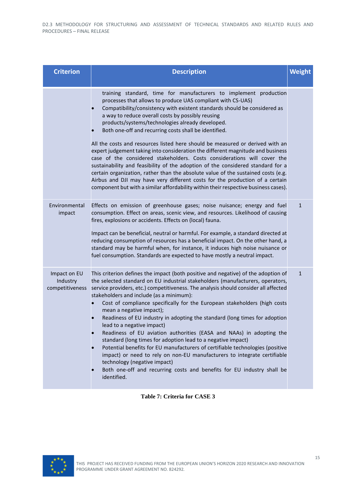| <b>Criterion</b>                            | <b>Description</b>                                                                                                                                                                                                                                                                                                                                                                                                                                                                                                                                                                                                                                                                                                                                                                                                                                                                                                                                                             | <b>Weight</b> |
|---------------------------------------------|--------------------------------------------------------------------------------------------------------------------------------------------------------------------------------------------------------------------------------------------------------------------------------------------------------------------------------------------------------------------------------------------------------------------------------------------------------------------------------------------------------------------------------------------------------------------------------------------------------------------------------------------------------------------------------------------------------------------------------------------------------------------------------------------------------------------------------------------------------------------------------------------------------------------------------------------------------------------------------|---------------|
|                                             | training standard, time for manufacturers to implement production<br>processes that allows to produce UAS compliant with CS-UAS)<br>Compatibility/consistency with existent standards should be considered as<br>a way to reduce overall costs by possibly reusing<br>products/systems/technologies already developed.<br>Both one-off and recurring costs shall be identified.<br>All the costs and resources listed here should be measured or derived with an<br>expert judgement taking into consideration the different magnitude and business<br>case of the considered stakeholders. Costs considerations will cover the<br>sustainability and feasibility of the adoption of the considered standard for a<br>certain organization, rather than the absolute value of the sustained costs (e.g.<br>Airbus and DJI may have very different costs for the production of a certain<br>component but with a similar affordability within their respective business cases). |               |
| Environmental<br>impact                     | Effects on emission of greenhouse gases; noise nuisance; energy and fuel<br>consumption. Effect on areas, scenic view, and resources. Likelihood of causing<br>fires, explosions or accidents. Effects on (local) fauna.<br>Impact can be beneficial, neutral or harmful. For example, a standard directed at<br>reducing consumption of resources has a beneficial impact. On the other hand, a<br>standard may be harmful when, for instance, it induces high noise nuisance or<br>fuel consumption. Standards are expected to have mostly a neutral impact.                                                                                                                                                                                                                                                                                                                                                                                                                 | $\mathbf{1}$  |
| Impact on EU<br>Industry<br>competitiveness | This criterion defines the impact (both positive and negative) of the adoption of<br>the selected standard on EU industrial stakeholders (manufacturers, operators,<br>service providers, etc.) competitiveness. The analysis should consider all affected<br>stakeholders and include (as a minimum):<br>Cost of compliance specifically for the European stakeholders (high costs<br>mean a negative impact);<br>Readiness of EU industry in adopting the standard (long times for adoption<br>lead to a negative impact)<br>Readiness of EU aviation authorities (EASA and NAAs) in adopting the<br>standard (long times for adoption lead to a negative impact)<br>Potential benefits for EU manufacturers of certifiable technologies (positive<br>impact) or need to rely on non-EU manufacturers to integrate certifiable<br>technology (negative impact)<br>Both one-off and recurring costs and benefits for EU industry shall be<br>identified.                      | $\mathbf{1}$  |

**Table 7: Criteria for CASE 3**

<span id="page-36-0"></span>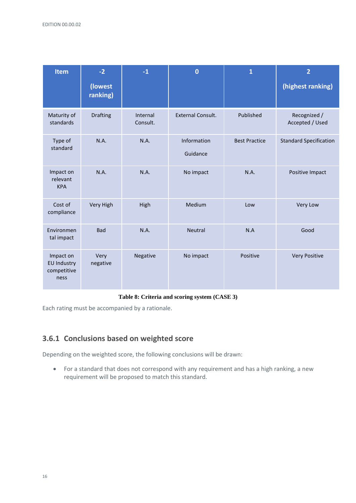| <b>Item</b>                                            | $-2$<br>(lowest<br>ranking) | $-1$                 | $\overline{0}$           | $\mathbf{1}$         | $\overline{2}$<br>(highest ranking) |
|--------------------------------------------------------|-----------------------------|----------------------|--------------------------|----------------------|-------------------------------------|
| Maturity of<br>standards                               | <b>Drafting</b>             | Internal<br>Consult. | <b>External Consult.</b> | Published            | Recognized /<br>Accepted / Used     |
| Type of<br>standard                                    | N.A.                        | N.A.                 | Information<br>Guidance  | <b>Best Practice</b> | <b>Standard Specification</b>       |
| Impact on<br>relevant<br><b>KPA</b>                    | N.A.                        | N.A.                 | No impact                | N.A.                 | Positive Impact                     |
| Cost of<br>compliance                                  | Very High                   | High                 | Medium                   | Low                  | Very Low                            |
| Environmen<br>tal impact                               | <b>Bad</b>                  | N.A.                 | Neutral                  | N.A                  | Good                                |
| Impact on<br><b>EU Industry</b><br>competitive<br>ness | Very<br>negative            | Negative             | No impact                | Positive             | Very Positive                       |

#### **Table 8: Criteria and scoring system (CASE 3)**

<span id="page-37-1"></span>Each rating must be accompanied by a rationale.

### <span id="page-37-0"></span>**3.6.1 Conclusions based on weighted score**

Depending on the weighted score, the following conclusions will be drawn:

• For a standard that does not correspond with any requirement and has a high ranking, a new requirement will be proposed to match this standard.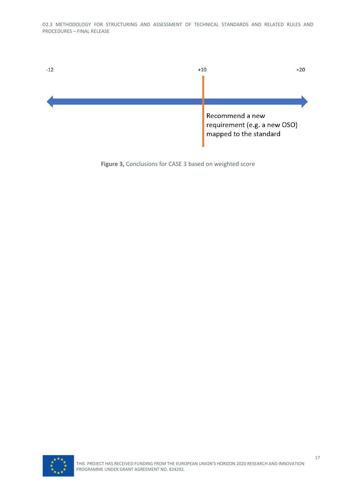

**Figure 3,** Conclusions for CASE 3 based on weighted score

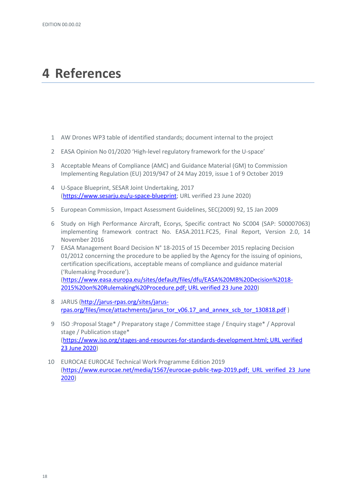# <span id="page-39-0"></span>**4 References**

- 1 AW Drones WP3 table of identified standards; document internal to the project
- 2 EASA Opinion No 01/2020 'High-level regulatory framework for the U-space'
- 3 Acceptable Means of Compliance (AMC) and Guidance Material (GM) to Commission Implementing Regulation (EU) 2019/947 of 24 May 2019, issue 1 of 9 October 2019
- 4 U-Space Blueprint, SESAR Joint Undertaking, 2017 [\(https://www.sesarju.eu/u-space-blueprint;](https://www.sesarju.eu/u-space-blueprint) URL verified 23 June 2020)
- 5 European Commission, Impact Assessment Guidelines, SEC(2009) 92, 15 Jan 2009
- 6 Study on High Performance Aircraft, Ecorys, Specific contract No SC004 (SAP: 500007063) implementing framework contract No. EASA.2011.FC25, Final Report, Version 2.0, 14 November 2016
- 7 EASA Management Board Decision N° 18-2015 of 15 December 2015 replacing Decision 01/2012 concerning the procedure to be applied by the Agency for the issuing of opinions, certification specifications, acceptable means of compliance and guidance material ('Rulemaking Procedure').

[\(https://www.easa.europa.eu/sites/default/files/dfu/EASA%20MB%20Decision%2018-](https://www.easa.europa.eu/sites/default/files/dfu/EASA%20MB%20Decision%2018-2015%20on%20Rulemaking%20Procedure.pdf) [2015%20on%20Rulemaking%20Procedure.pdf;](https://www.easa.europa.eu/sites/default/files/dfu/EASA%20MB%20Decision%2018-2015%20on%20Rulemaking%20Procedure.pdf) URL verified 23 June 2020)

- 8 JARUS [\(http://jarus-rpas.org/sites/jarus](http://jarus-rpas.org/sites/jarus-rpas.org/files/imce/attachments/jarus_tor_v06.17_and_annex_scb_tor_130818.pdf)[rpas.org/files/imce/attachments/jarus\\_tor\\_v06.17\\_and\\_annex\\_scb\\_tor\\_130818.pdf](http://jarus-rpas.org/sites/jarus-rpas.org/files/imce/attachments/jarus_tor_v06.17_and_annex_scb_tor_130818.pdf) )
- 9 ISO :Proposal Stage\* / Preparatory stage / Committee stage / Enquiry stage\* / Approval stage / Publication stage\* [\(https://www.iso.org/stages-and-resources-for-standards-development.html;](https://www.iso.org/stages-and-resources-for-standards-development.html) URL verified 23 June 2020)
- 10 EUROCAE EUROCAE Technical Work Programme Edition 2019 [\(https://www.eurocae.net/media/1567/eurocae-public-twp-2019.pdf;](https://www.eurocae.net/media/1567/eurocae-public-twp-2019.pdf) URL verified 23 June 2020)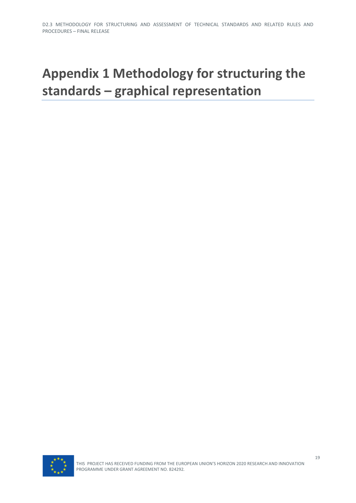# <span id="page-40-0"></span>**Appendix 1 Methodology for structuring the standards – graphical representation**

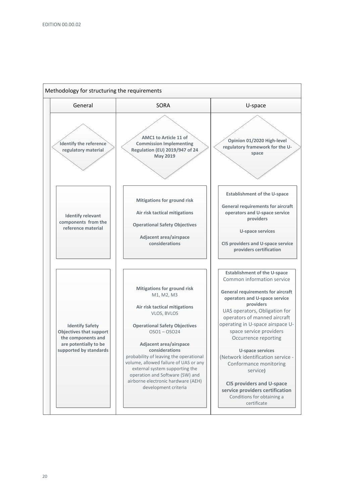